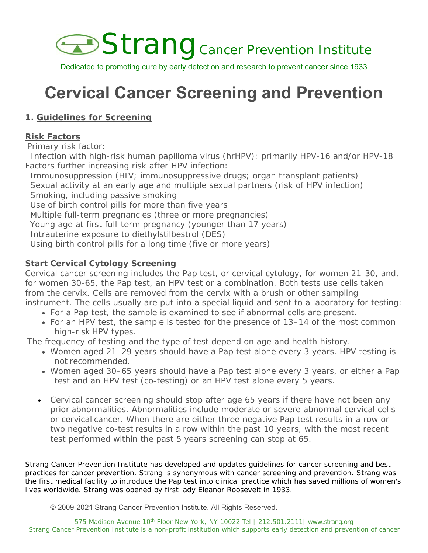

Dedicated to promoting cure by early detection and research to prevent cancer since 1933

# **Cervical Cancer Screening and Prevention**

# **1. Guidelines for Screening**

## **Risk Factors**

Primary risk factor:

 Infection with high-risk human papilloma virus (hrHPV): primarily HPV-16 and/or HPV-18 Factors further increasing risk after HPV infection:

Immunosuppression (HIV; immunosuppressive drugs; organ transplant patients) Sexual activity at an early age and multiple sexual partners (risk of HPV infection) Smoking, including passive smoking Use of birth control pills for more than five years Multiple full-term pregnancies (three or more pregnancies) Young age at first full-term pregnancy (younger than 17 years) Intrauterine exposure to diethylstilbestrol (DES) Using birth control pills for a long time (five or more years)

## **Start Cervical Cytology Screening**

Cervical cancer screening includes the Pap test, or cervical cytology, for women 21-30, and, for women 30-65, the Pap test, an HPV test or a combination. Both tests use cells taken from the cervix. Cells are removed from the cervix with a brush or other sampling instrument. The cells usually are put into a special liquid and sent to a laboratory for testing:

- For a Pap test, the sample is examined to see if abnormal cells are present.
- For an HPV test, the sample is tested for the presence of 13–14 of the most common high-risk HPV types.

The frequency of testing and the type of test depend on age and health history.

- Women aged 21–29 years should have a Pap test alone every 3 years. HPV testing is not recommended.
- Women aged 30–65 years should have a Pap test alone every 3 years, or either a Pap test and an HPV test (co-testing) or an HPV test alone every 5 years.
- Cervical cancer screening should stop after age 65 years if there have not been any prior abnormalities. Abnormalities include moderate or severe abnormal cervical cells or cervical cancer. When there are either three negative Pap test results in a row or two negative co-test results in a row within the past 10 years, with the most recent test performed within the past 5 years screening can stop at 65.

*Strang Cancer Prevention Institute has developed and updates guidelines for cancer screening and best practices for cancer prevention. Strang is synonymous with cancer screening and prevention. Strang was the first medical facility to introduce the Pap test into clinical practice which has saved millions of women's lives worldwide. Strang was opened by first lady Eleanor Roosevelt in 1933.*

© 2009-2021 Strang Cancer Prevention Institute. All Rights Reserved.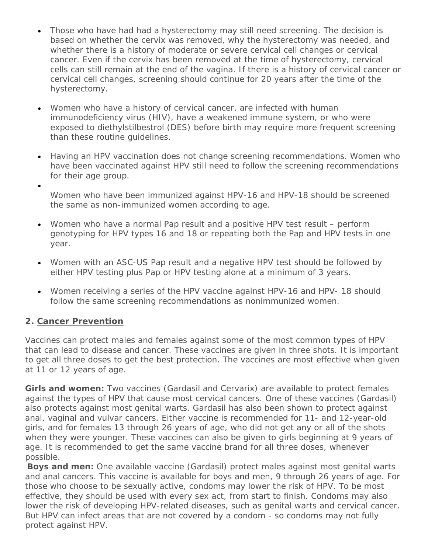- Those who have had had a hysterectomy may still need screening. The decision is based on whether the cervix was removed, why the hysterectomy was needed, and whether there is a history of moderate or severe cervical cell changes or cervical cancer. Even if the cervix has been removed at the time of hysterectomy, cervical cells can still remain at the end of the vagina. If there is a history of cervical cancer or cervical cell changes, screening should continue for 20 years after the time of the hysterectomy.
- Women who have a history of cervical cancer, are infected with human immunodeficiency virus (HIV), have a weakened immune system, or who were exposed to diethylstilbestrol (DES) before birth may require more frequent screening than these routine guidelines.
- Having an HPV vaccination does not change screening recommendations. Women who have been vaccinated against HPV still need to follow the screening recommendations for their age group.
- $\bullet$ Women who have been immunized against HPV-16 and HPV-18 should be screened the same as non-immunized women according to age.
- Women who have a normal Pap result and a positive HPV test result perform genotyping for HPV types 16 and 18 or repeating both the Pap and HPV tests in one year.
- Women with an ASC-US Pap result and a negative HPV test should be followed by either HPV testing plus Pap or HPV testing alone at a minimum of 3 years.
- Women receiving a series of the HPV vaccine against HPV-16 and HPV- 18 should follow the same screening recommendations as nonimmunized women.

## **2. Cancer Prevention**

Vaccines can protect males and females against some of the most common types of HPV that can lead to disease and cancer. These vaccines are given in three shots. It is important to get all three doses to get the best protection. The vaccines are most effective when given at 11 or 12 years of age.

**Girls and women:** Two vaccines (Gardasil and Cervarix) are available to protect females against the types of HPV that cause most cervical cancers. One of these vaccines (Gardasil) also protects against most genital warts. Gardasil has also been shown to protect against anal, vaginal and vulvar cancers. Either vaccine is recommended for 11- and 12-year-old girls, and for females 13 through 26 years of age, who did not get any or all of the shots when they were younger. These vaccines can also be given to girls beginning at 9 years of age. It is recommended to get the same vaccine brand for all three doses, whenever possible.

**Boys and men:** One available vaccine (Gardasil) protect males against most genital warts and anal cancers. This vaccine is available for boys and men, 9 through 26 years of age. For those who choose to be sexually active, condoms may lower the risk of HPV. To be most effective, they should be used with every sex act, from start to finish. Condoms may also lower the risk of developing HPV-related diseases, such as genital warts and cervical cancer. But HPV can infect areas that are not covered by a condom - so condoms may not fully protect against HPV.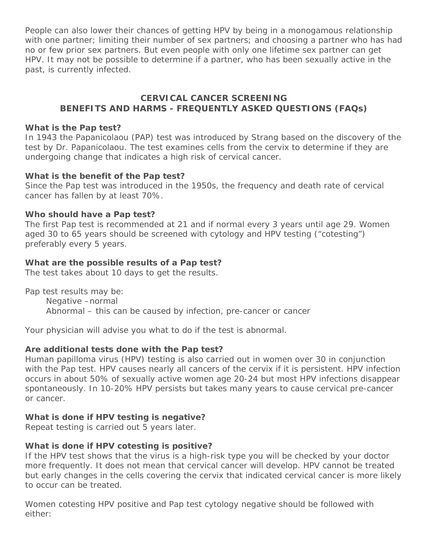People can also lower their chances of getting HPV by being in a monogamous relationship with one partner; limiting their number of sex partners; and choosing a partner who has had no or few prior sex partners. But even people with only one lifetime sex partner can get HPV. It may not be possible to determine if a partner, who has been sexually active in the past, is currently infected.

## **CERVICAL CANCER SCREENING BENEFITS AND HARMS - FREQUENTLY ASKED QUESTIONS (FAQs)**

#### **What is the Pap test?**

In 1943 the Papanicolaou (PAP) test was introduced by Strang based on the discovery of the test by Dr. Papanicolaou. The test examines cells from the cervix to determine if they are undergoing change that indicates a high risk of cervical cancer.

#### **What is the benefit of the Pap test?**

Since the Pap test was introduced in the 1950s, the frequency and death rate of cervical cancer has fallen by at least 70%.

#### **Who should have a Pap test?**

The first Pap test is recommended at 21 and if normal every 3 years until age 29. Women aged 30 to 65 years should be screened with cytology and HPV testing ("cotesting") preferably every 5 years.

#### **What are the possible results of a Pap test?**

The test takes about 10 days to get the results.

Pap test results may be:

Negative –normal Abnormal – this can be caused by infection, pre-cancer or cancer

Your physician will advise you what to do if the test is abnormal.

#### **Are additional tests done with the Pap test?**

Human papilloma virus (HPV) testing is also carried out in women over 30 in conjunction with the Pap test. HPV causes nearly all cancers of the cervix if it is persistent. HPV infection occurs in about 50% of sexually active women age 20-24 but most HPV infections disappear spontaneously. In 10-20% HPV persists but takes many years to cause cervical pre-cancer or cancer.

#### **What is done if HPV testing is negative?**

Repeat testing is carried out 5 years later.

#### **What is done if HPV cotesting is positive?**

If the HPV test shows that the virus is a high-risk type you will be checked by your doctor more frequently. It does not mean that cervical cancer will develop. HPV cannot be treated but early changes in the cells covering the cervix that indicated cervical cancer is more likely to occur can be treated.

Women cotesting HPV positive and Pap test cytology negative should be followed with either: